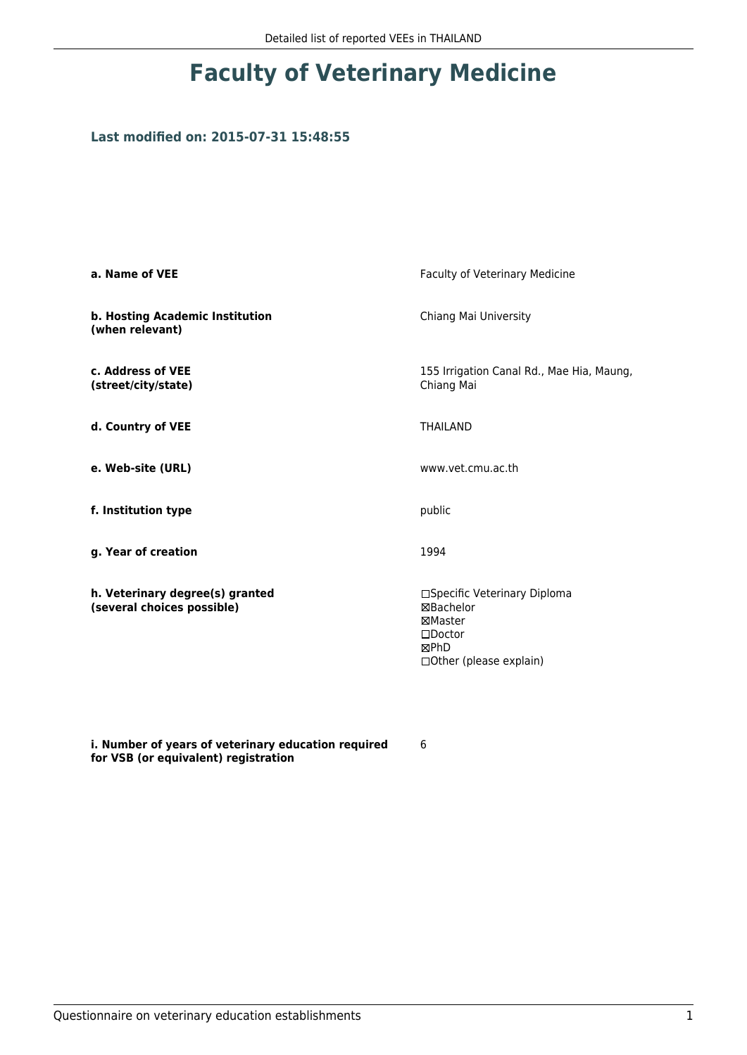#### **Last modified on: 2015-07-31 15:48:55**

| a. Name of VEE                                                | Faculty of Veterinary Medicine                                                                               |  |
|---------------------------------------------------------------|--------------------------------------------------------------------------------------------------------------|--|
| b. Hosting Academic Institution<br>(when relevant)            | Chiang Mai University                                                                                        |  |
| c. Address of VEE<br>(street/city/state)                      | 155 Irrigation Canal Rd., Mae Hia, Maung,<br>Chiang Mai                                                      |  |
| d. Country of VEE                                             | <b>THAILAND</b>                                                                                              |  |
| e. Web-site (URL)                                             | www.vet.cmu.ac.th                                                                                            |  |
| f. Institution type                                           | public                                                                                                       |  |
| g. Year of creation                                           | 1994                                                                                                         |  |
| h. Veterinary degree(s) granted<br>(several choices possible) | □Specific Veterinary Diploma<br>⊠Bachelor<br>⊠Master<br>$\square$ Doctor<br>⊠PhD<br>□ Other (please explain) |  |

**i. Number of years of veterinary education required for VSB (or equivalent) registration**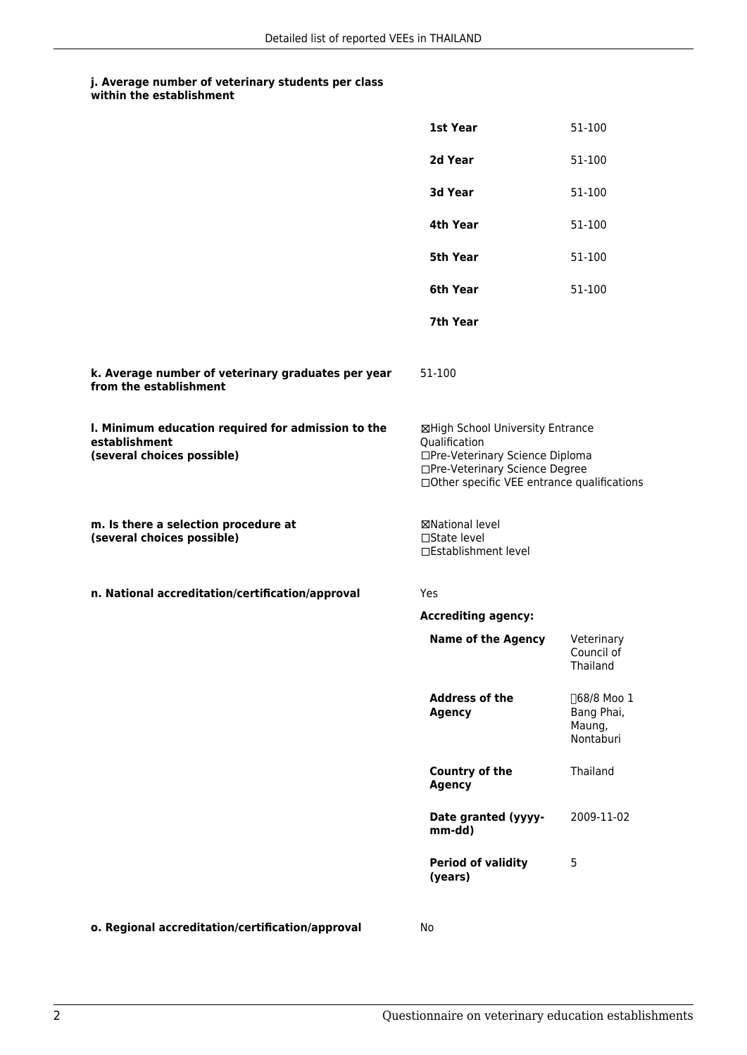|                                                                                                   | 1st Year                                                                                                                                                              | 51-100                                           |
|---------------------------------------------------------------------------------------------------|-----------------------------------------------------------------------------------------------------------------------------------------------------------------------|--------------------------------------------------|
|                                                                                                   | 2d Year                                                                                                                                                               | 51-100                                           |
|                                                                                                   | 3d Year                                                                                                                                                               | 51-100                                           |
|                                                                                                   | 4th Year                                                                                                                                                              | 51-100                                           |
|                                                                                                   | 5th Year                                                                                                                                                              | 51-100                                           |
|                                                                                                   | 6th Year                                                                                                                                                              | 51-100                                           |
|                                                                                                   | 7th Year                                                                                                                                                              |                                                  |
| k. Average number of veterinary graduates per year<br>from the establishment                      | 51-100                                                                                                                                                                |                                                  |
| I. Minimum education required for admission to the<br>establishment<br>(several choices possible) | ⊠High School University Entrance<br>Qualification<br>□Pre-Veterinary Science Diploma<br>□Pre-Veterinary Science Degree<br>□Other specific VEE entrance qualifications |                                                  |
| m. Is there a selection procedure at<br>(several choices possible)                                | ⊠National level<br>$\Box$ State level<br>□Establishment level                                                                                                         |                                                  |
| n. National accreditation/certification/approval                                                  | Yes                                                                                                                                                                   |                                                  |
|                                                                                                   | <b>Accrediting agency:</b>                                                                                                                                            |                                                  |
|                                                                                                   | <b>Name of the Agency</b>                                                                                                                                             | Veterinary<br>Council of<br>Thailand             |
|                                                                                                   | <b>Address of the</b><br>Agency                                                                                                                                       | □68/8 Moo 1<br>Bang Phai,<br>Maung,<br>Nontaburi |
|                                                                                                   | Country of the<br><b>Agency</b>                                                                                                                                       | Thailand                                         |
|                                                                                                   | Date granted (yyyy-<br>mm-dd)                                                                                                                                         | 2009-11-02                                       |
|                                                                                                   | <b>Period of validity</b><br>(years)                                                                                                                                  | 5                                                |
|                                                                                                   |                                                                                                                                                                       |                                                  |

**o. Regional accreditation/certification/approval** No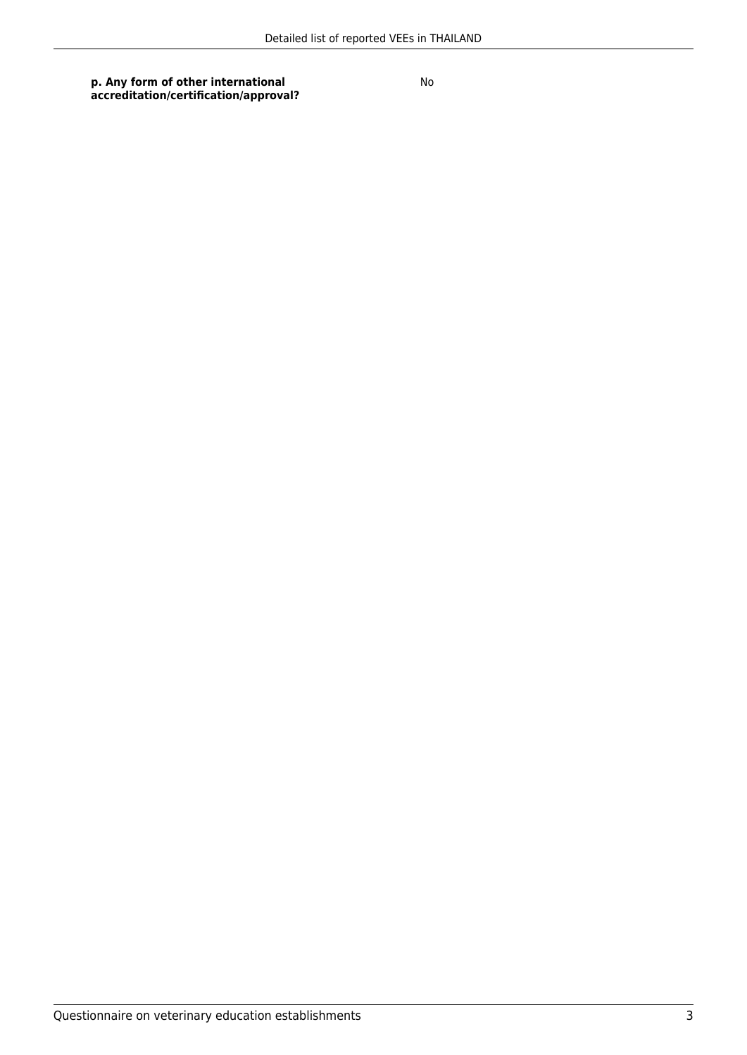**p. Any form of other international accreditation/certification/approval?**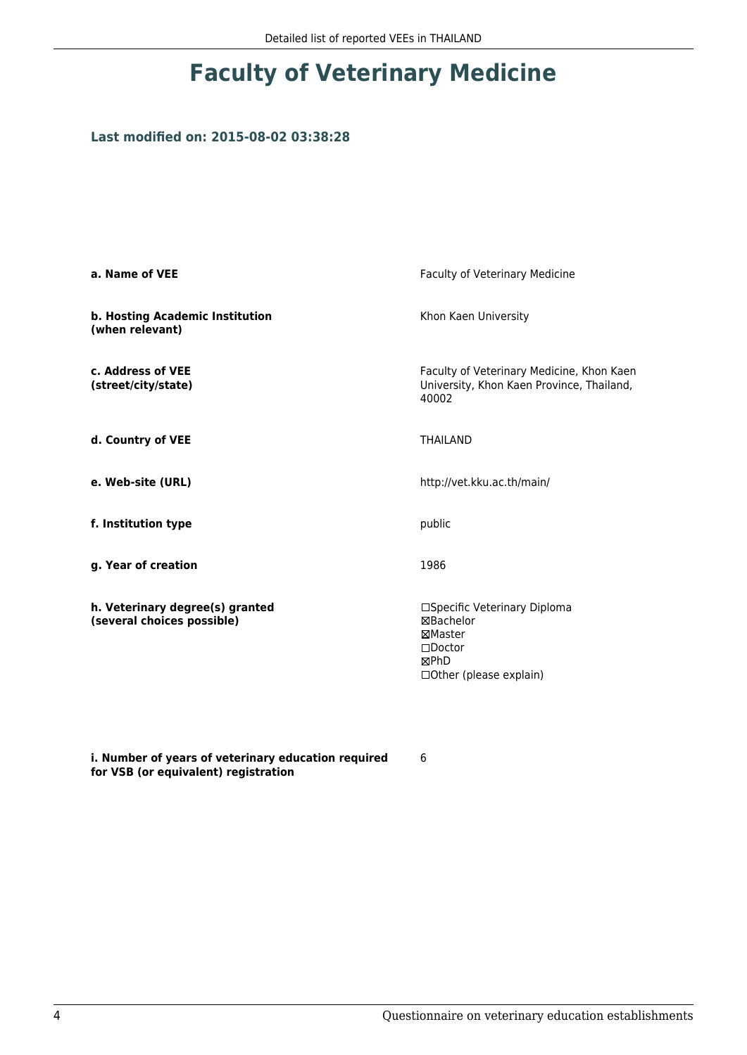#### **Last modified on: 2015-08-02 03:38:28**

| a. Name of VEE                                                | Faculty of Veterinary Medicine                                                                               |  |
|---------------------------------------------------------------|--------------------------------------------------------------------------------------------------------------|--|
| b. Hosting Academic Institution<br>(when relevant)            | Khon Kaen University                                                                                         |  |
| c. Address of VEE<br>(street/city/state)                      | Faculty of Veterinary Medicine, Khon Kaen<br>University, Khon Kaen Province, Thailand,<br>40002              |  |
| d. Country of VEE                                             | <b>THAILAND</b>                                                                                              |  |
| e. Web-site (URL)                                             | http://vet.kku.ac.th/main/                                                                                   |  |
| f. Institution type                                           | public                                                                                                       |  |
| g. Year of creation                                           | 1986                                                                                                         |  |
| h. Veterinary degree(s) granted<br>(several choices possible) | □Specific Veterinary Diploma<br>⊠Bachelor<br>⊠Master<br>$\square$ Doctor<br>⊠PhD<br>□ Other (please explain) |  |

**i. Number of years of veterinary education required for VSB (or equivalent) registration**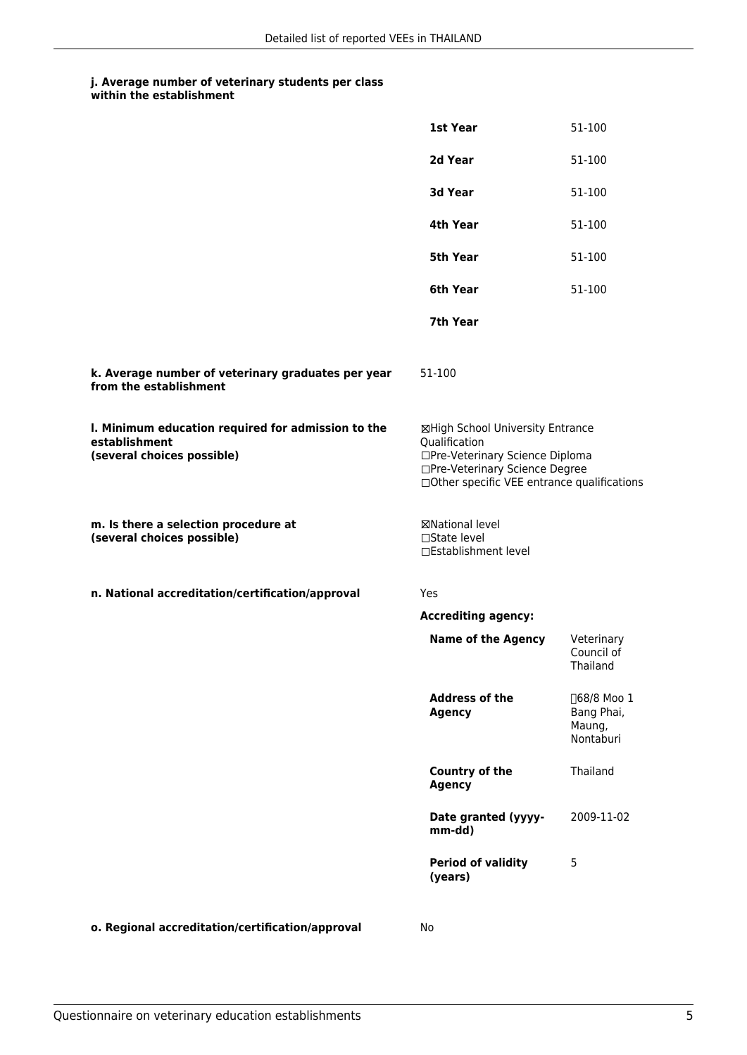|                                                                                                   | 1st Year                                                                                                                                                              | 51-100                                           |
|---------------------------------------------------------------------------------------------------|-----------------------------------------------------------------------------------------------------------------------------------------------------------------------|--------------------------------------------------|
|                                                                                                   | 2d Year                                                                                                                                                               | 51-100                                           |
|                                                                                                   | 3d Year                                                                                                                                                               | 51-100                                           |
|                                                                                                   | 4th Year                                                                                                                                                              | 51-100                                           |
|                                                                                                   | 5th Year                                                                                                                                                              | 51-100                                           |
|                                                                                                   | 6th Year                                                                                                                                                              | 51-100                                           |
|                                                                                                   | 7th Year                                                                                                                                                              |                                                  |
| k. Average number of veterinary graduates per year<br>from the establishment                      | 51-100                                                                                                                                                                |                                                  |
| I. Minimum education required for admission to the<br>establishment<br>(several choices possible) | ⊠High School University Entrance<br>Qualification<br>□Pre-Veterinary Science Diploma<br>□Pre-Veterinary Science Degree<br>□Other specific VEE entrance qualifications |                                                  |
| m. Is there a selection procedure at<br>(several choices possible)                                | <b>⊠National level</b><br>□State level<br>□Establishment level                                                                                                        |                                                  |
| n. National accreditation/certification/approval                                                  | Yes                                                                                                                                                                   |                                                  |
|                                                                                                   | <b>Accrediting agency:</b>                                                                                                                                            |                                                  |
|                                                                                                   | <b>Name of the Agency</b>                                                                                                                                             | Veterinary                                       |
|                                                                                                   |                                                                                                                                                                       | Council of<br>Thailand                           |
|                                                                                                   | <b>Address of the</b><br>Agency                                                                                                                                       | □68/8 Moo 1<br>Bang Phai,<br>Maung,<br>Nontaburi |
|                                                                                                   | Country of the<br><b>Agency</b>                                                                                                                                       | Thailand                                         |
|                                                                                                   | Date granted (yyyy-<br>mm-dd)                                                                                                                                         | 2009-11-02                                       |
|                                                                                                   | <b>Period of validity</b><br>(years)                                                                                                                                  | 5                                                |

**o. Regional accreditation/certification/approval** No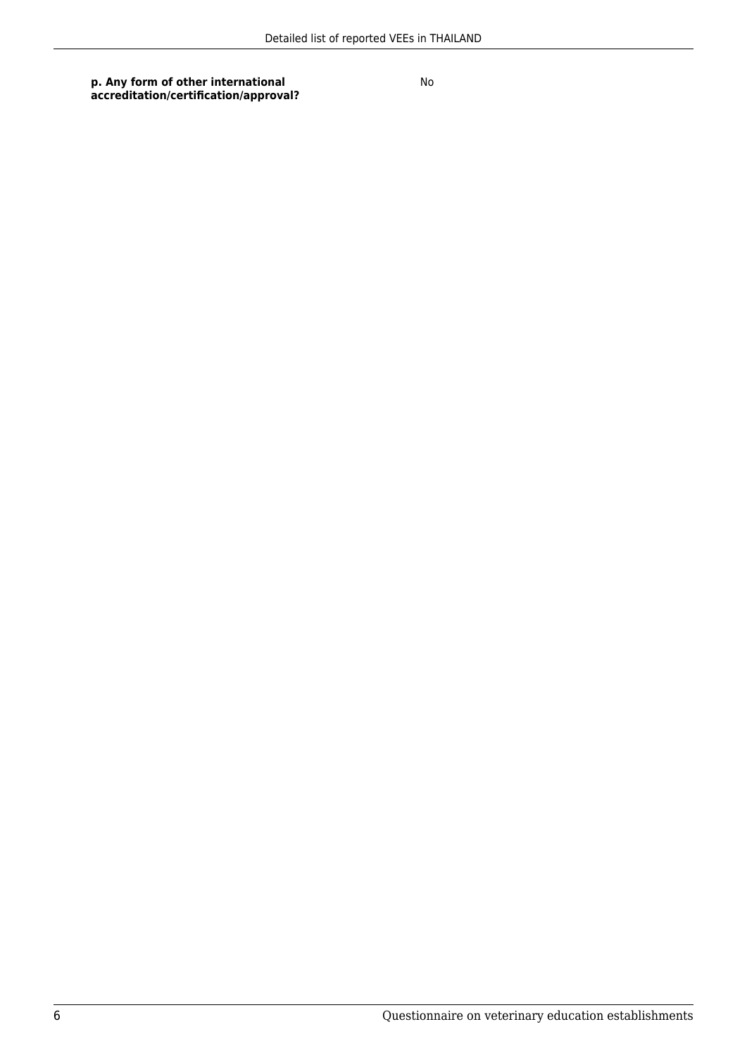**p. Any form of other international accreditation/certification/approval?**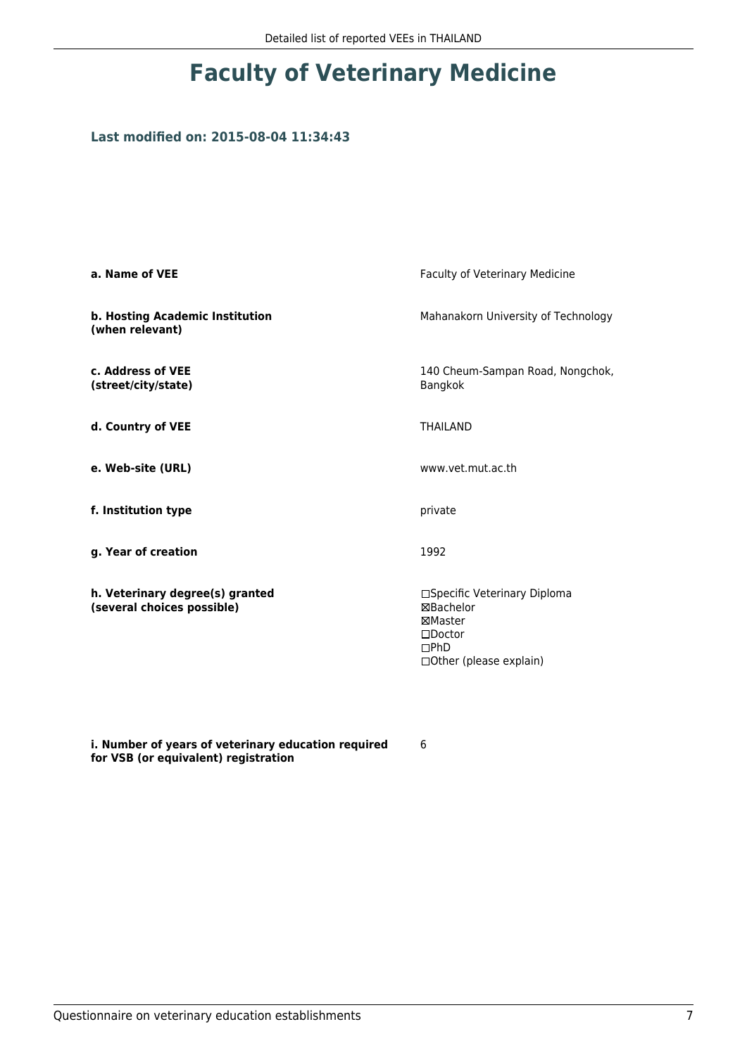### **Last modified on: 2015-08-04 11:34:43**

| a. Name of VEE                                                | Faculty of Veterinary Medicine                                                                                      |
|---------------------------------------------------------------|---------------------------------------------------------------------------------------------------------------------|
| b. Hosting Academic Institution<br>(when relevant)            | Mahanakorn University of Technology                                                                                 |
| c. Address of VEE<br>(street/city/state)                      | 140 Cheum-Sampan Road, Nongchok,<br>Bangkok                                                                         |
| d. Country of VEE                                             | <b>THAILAND</b>                                                                                                     |
| e. Web-site (URL)                                             | www.vet.mut.ac.th                                                                                                   |
| f. Institution type                                           | private                                                                                                             |
| g. Year of creation                                           | 1992                                                                                                                |
| h. Veterinary degree(s) granted<br>(several choices possible) | □Specific Veterinary Diploma<br><b>⊠Bachelor</b><br>⊠Master<br>$\square$ Doctor<br>DPhD<br>□ Other (please explain) |

**i. Number of years of veterinary education required for VSB (or equivalent) registration**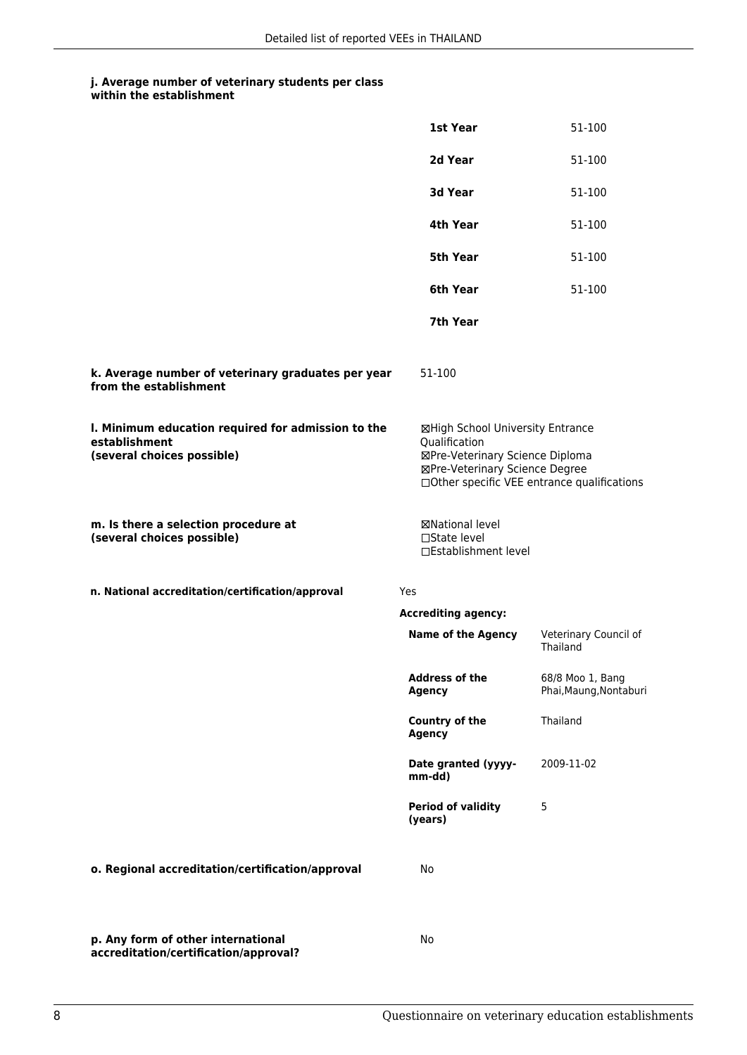| within the establishment |  |
|--------------------------|--|
|--------------------------|--|

|                                                                                                   | 1st Year                                                                                                                                                              | 51-100                                     |
|---------------------------------------------------------------------------------------------------|-----------------------------------------------------------------------------------------------------------------------------------------------------------------------|--------------------------------------------|
|                                                                                                   | 2d Year                                                                                                                                                               | 51-100                                     |
|                                                                                                   | 3d Year                                                                                                                                                               | 51-100                                     |
|                                                                                                   | 4th Year                                                                                                                                                              | 51-100                                     |
|                                                                                                   | <b>5th Year</b>                                                                                                                                                       | 51-100                                     |
|                                                                                                   | 6th Year                                                                                                                                                              | 51-100                                     |
|                                                                                                   | 7th Year                                                                                                                                                              |                                            |
| k. Average number of veterinary graduates per year<br>from the establishment                      | 51-100                                                                                                                                                                |                                            |
| I. Minimum education required for admission to the<br>establishment<br>(several choices possible) | ⊠High School University Entrance<br>Qualification<br>⊠Pre-Veterinary Science Diploma<br>⊠Pre-Veterinary Science Degree<br>□Other specific VEE entrance qualifications |                                            |
| m. Is there a selection procedure at<br>(several choices possible)                                | ⊠National level<br>$\Box$ State level<br>□Establishment level                                                                                                         |                                            |
| n. National accreditation/certification/approval                                                  | Yes                                                                                                                                                                   |                                            |
|                                                                                                   | <b>Accrediting agency:</b>                                                                                                                                            |                                            |
|                                                                                                   | <b>Name of the Agency</b>                                                                                                                                             | Veterinary Council of<br>Thailand          |
|                                                                                                   | <b>Address of the</b><br>Agency                                                                                                                                       | 68/8 Moo 1, Bang<br>Phai, Maung, Nontaburi |
|                                                                                                   | Country of the<br><b>Agency</b>                                                                                                                                       | Thailand                                   |
|                                                                                                   | Date granted (yyyy-<br>mm-dd)                                                                                                                                         | 2009-11-02                                 |
|                                                                                                   | <b>Period of validity</b><br>(years)                                                                                                                                  | 5                                          |
| o. Regional accreditation/certification/approval                                                  | No                                                                                                                                                                    |                                            |
| p. Any form of other international<br>accreditation/certification/approval?                       | No                                                                                                                                                                    |                                            |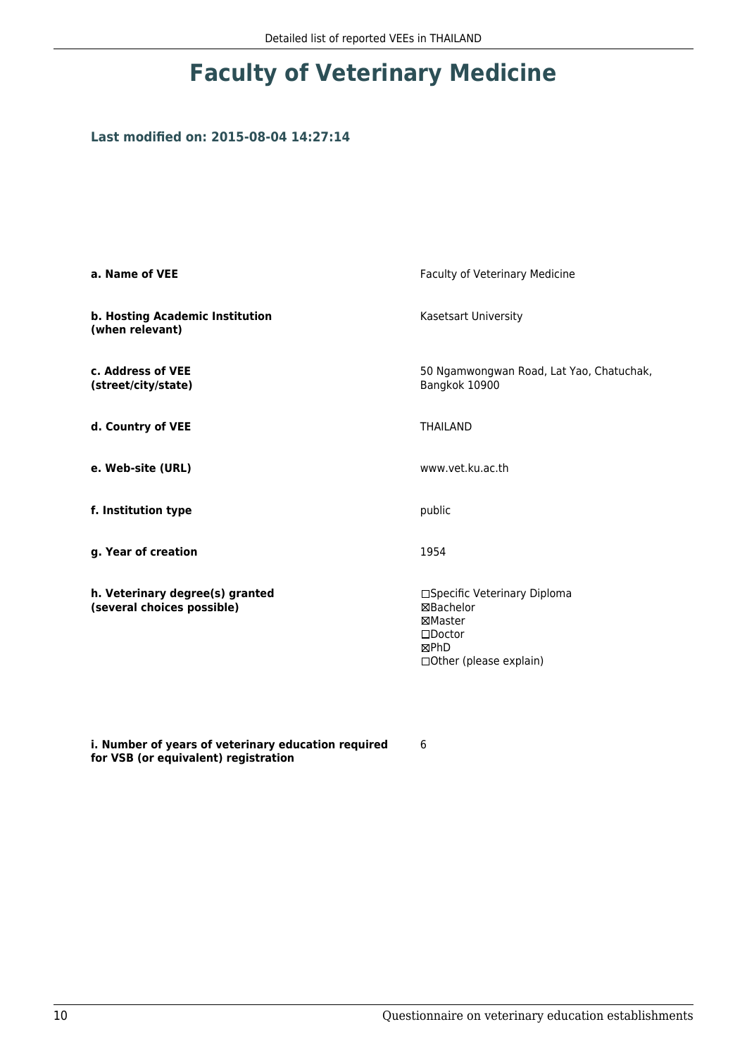### **Last modified on: 2015-08-04 14:27:14**

| a. Name of VEE                                                | Faculty of Veterinary Medicine                                                                              |  |
|---------------------------------------------------------------|-------------------------------------------------------------------------------------------------------------|--|
| b. Hosting Academic Institution<br>(when relevant)            | Kasetsart University                                                                                        |  |
| c. Address of VEE<br>(street/city/state)                      | 50 Ngamwongwan Road, Lat Yao, Chatuchak,<br>Bangkok 10900                                                   |  |
| d. Country of VEE                                             | <b>THAILAND</b>                                                                                             |  |
| e. Web-site (URL)                                             | www.vet.ku.ac.th                                                                                            |  |
| f. Institution type                                           | public                                                                                                      |  |
| g. Year of creation                                           | 1954                                                                                                        |  |
| h. Veterinary degree(s) granted<br>(several choices possible) | □Specific Veterinary Diploma<br>⊠Bachelor<br>⊠Master<br>$\square$ Doctor<br>⊠PhD<br>□Other (please explain) |  |

**i. Number of years of veterinary education required for VSB (or equivalent) registration**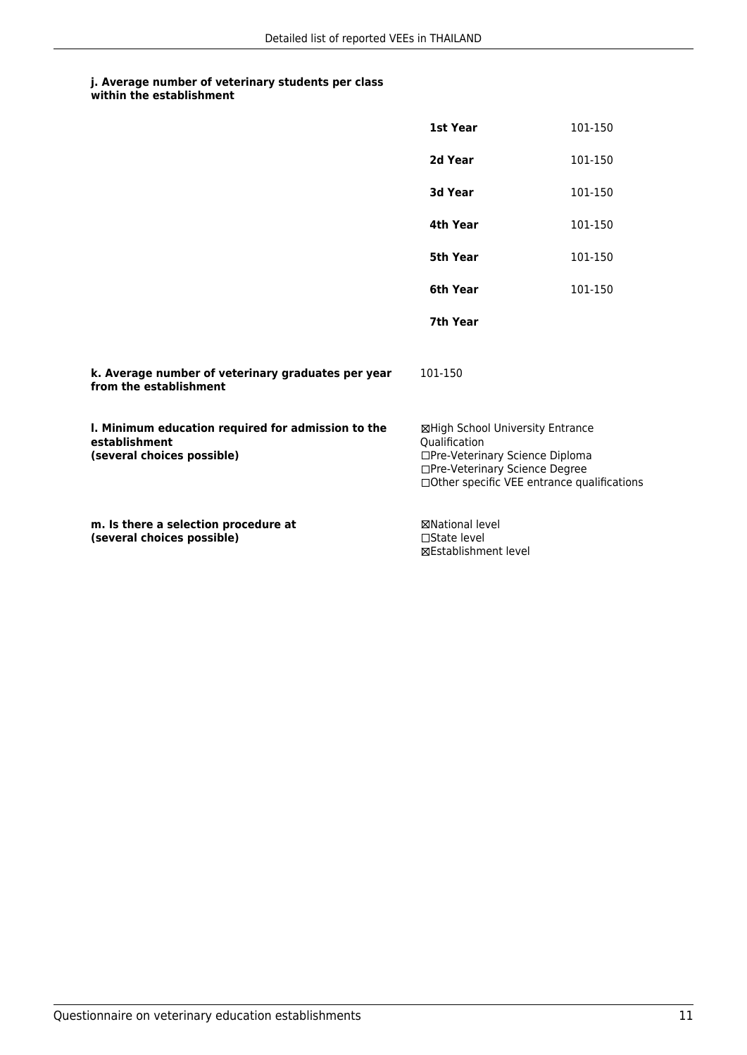#### **j. Average number of veterinary students per class within the establishment**

|                                                                                                   | 1st Year                                                                                                                                                              | 101-150 |
|---------------------------------------------------------------------------------------------------|-----------------------------------------------------------------------------------------------------------------------------------------------------------------------|---------|
|                                                                                                   | 2d Year                                                                                                                                                               | 101-150 |
|                                                                                                   | 3d Year                                                                                                                                                               | 101-150 |
|                                                                                                   | 4th Year                                                                                                                                                              | 101-150 |
|                                                                                                   | 5th Year                                                                                                                                                              | 101-150 |
|                                                                                                   | 6th Year                                                                                                                                                              | 101-150 |
|                                                                                                   | 7th Year                                                                                                                                                              |         |
| k. Average number of veterinary graduates per year<br>from the establishment                      | 101-150                                                                                                                                                               |         |
| I. Minimum education required for admission to the<br>establishment<br>(several choices possible) | ⊠High School University Entrance<br>Oualification<br>□Pre-Veterinary Science Diploma<br>□Pre-Veterinary Science Degree<br>□Other specific VEE entrance qualifications |         |
| m. Is there a selection procedure at<br>(several choices possible)                                | <b>⊠National level</b><br>$\Box$ State level<br>⊠Establishment level                                                                                                  |         |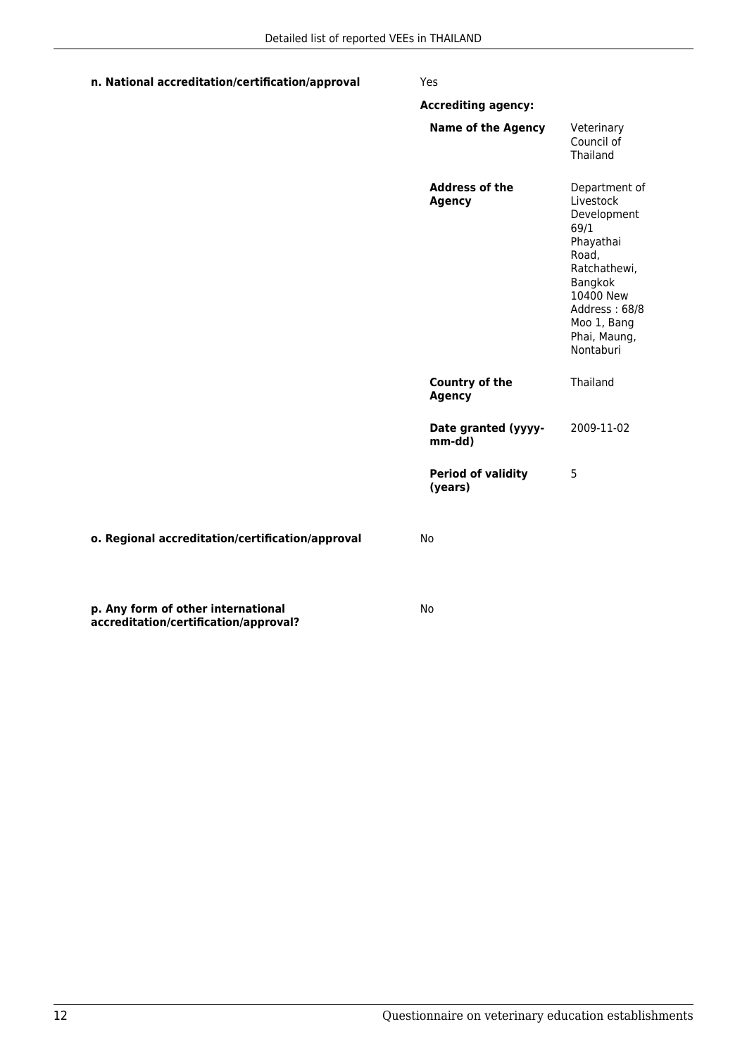| n. National accreditation/certification/approval | Yes                                    |                                                                                                                                                                              |
|--------------------------------------------------|----------------------------------------|------------------------------------------------------------------------------------------------------------------------------------------------------------------------------|
|                                                  | <b>Accrediting agency:</b>             |                                                                                                                                                                              |
|                                                  | <b>Name of the Agency</b>              | Veterinary<br>Council of<br>Thailand                                                                                                                                         |
|                                                  | <b>Address of the</b><br><b>Agency</b> | Department of<br>Livestock<br>Development<br>69/1<br>Phayathai<br>Road,<br>Ratchathewi,<br>Bangkok<br>10400 New<br>Address: 68/8<br>Moo 1, Bang<br>Phai, Maung,<br>Nontaburi |
|                                                  | <b>Country of the</b><br><b>Agency</b> | Thailand                                                                                                                                                                     |
|                                                  | Date granted (yyyy-<br>mm-dd)          | 2009-11-02                                                                                                                                                                   |
|                                                  | <b>Period of validity</b><br>(years)   | 5                                                                                                                                                                            |
| o. Regional accreditation/certification/approval | No                                     |                                                                                                                                                                              |
| p. Any form of other international               | No                                     |                                                                                                                                                                              |

**accreditation/certification/approval?**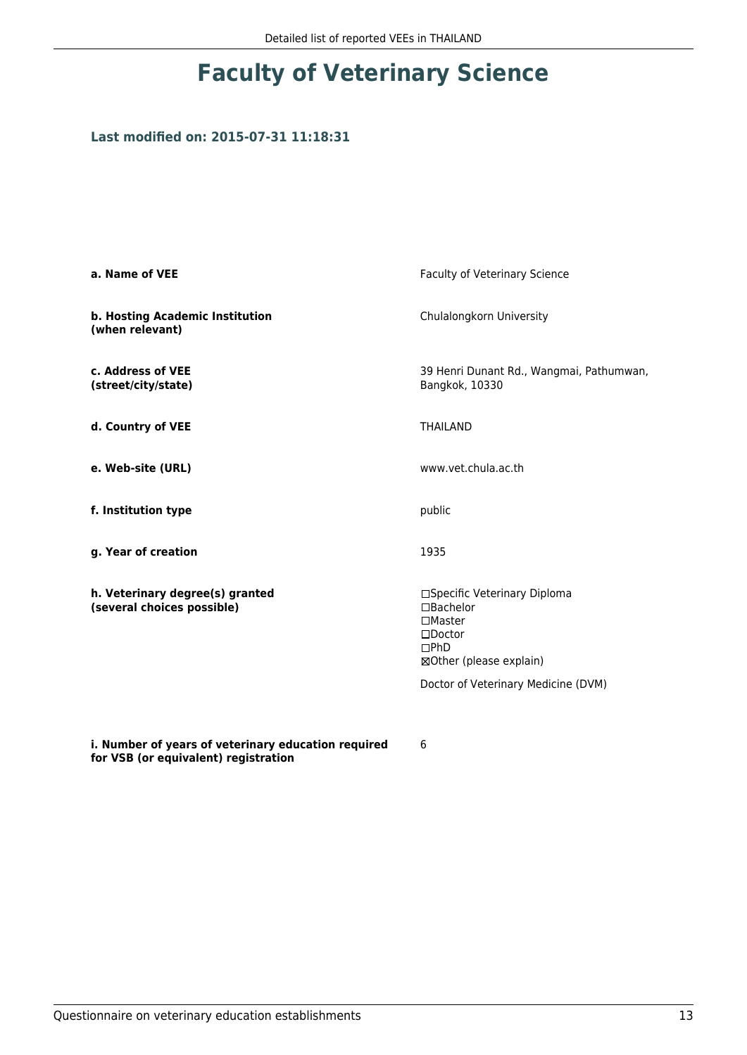# **Faculty of Veterinary Science**

#### **Last modified on: 2015-07-31 11:18:31**

| a. Name of VEE                                                | <b>Faculty of Veterinary Science</b>                                                                                                                                 |  |
|---------------------------------------------------------------|----------------------------------------------------------------------------------------------------------------------------------------------------------------------|--|
| b. Hosting Academic Institution<br>(when relevant)            | Chulalongkorn University                                                                                                                                             |  |
| c. Address of VEE<br>(street/city/state)                      | 39 Henri Dunant Rd., Wangmai, Pathumwan,<br>Bangkok, 10330                                                                                                           |  |
| d. Country of VEE                                             | <b>THAILAND</b>                                                                                                                                                      |  |
| e. Web-site (URL)                                             | www.vet.chula.ac.th                                                                                                                                                  |  |
| f. Institution type                                           | public                                                                                                                                                               |  |
| g. Year of creation                                           | 1935                                                                                                                                                                 |  |
| h. Veterinary degree(s) granted<br>(several choices possible) | □Specific Veterinary Diploma<br>□Bachelor<br>$\square$ Master<br>$\square$ Doctor<br>$\square$ PhD<br>⊠Other (please explain)<br>Doctor of Veterinary Medicine (DVM) |  |

**i. Number of years of veterinary education required for VSB (or equivalent) registration**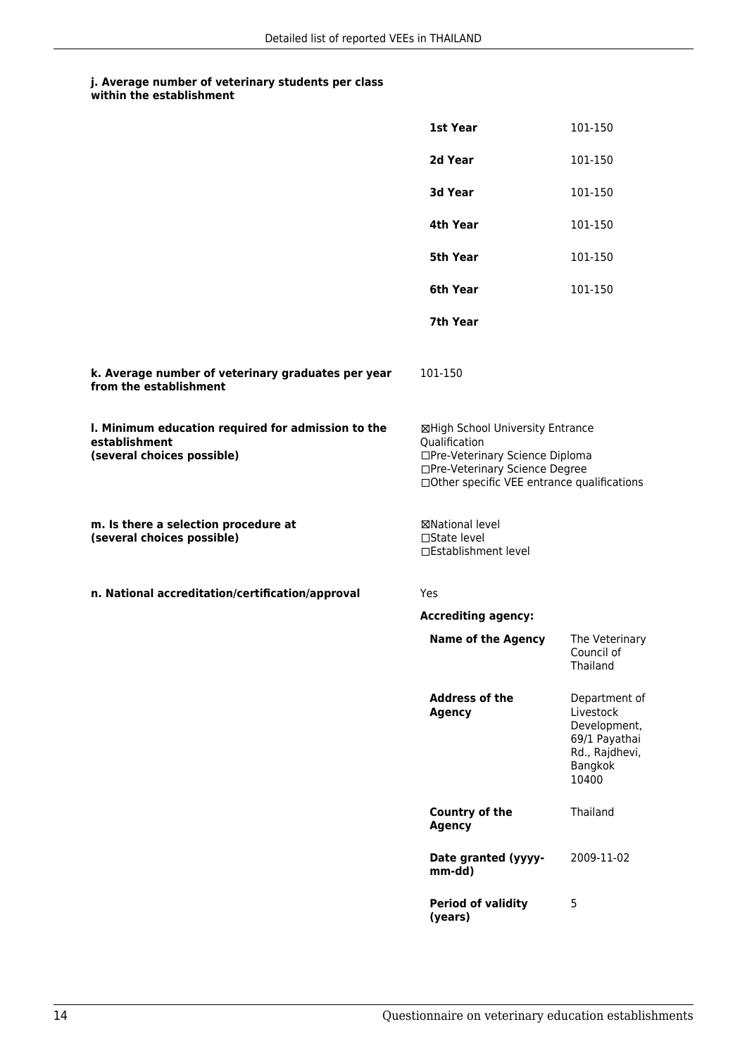| within the establishment |
|--------------------------|
|                          |

|                                                                                                   | 1st Year                                                                                                                                                              | 101-150                                                                                           |
|---------------------------------------------------------------------------------------------------|-----------------------------------------------------------------------------------------------------------------------------------------------------------------------|---------------------------------------------------------------------------------------------------|
|                                                                                                   | 2d Year                                                                                                                                                               | 101-150                                                                                           |
|                                                                                                   | 3d Year                                                                                                                                                               | 101-150                                                                                           |
|                                                                                                   | 4th Year                                                                                                                                                              | 101-150                                                                                           |
|                                                                                                   | 5th Year                                                                                                                                                              | 101-150                                                                                           |
|                                                                                                   | 6th Year                                                                                                                                                              | 101-150                                                                                           |
|                                                                                                   | 7th Year                                                                                                                                                              |                                                                                                   |
| k. Average number of veterinary graduates per year<br>from the establishment                      | 101-150                                                                                                                                                               |                                                                                                   |
| I. Minimum education required for admission to the<br>establishment<br>(several choices possible) | ⊠High School University Entrance<br>Qualification<br>□Pre-Veterinary Science Diploma<br>□Pre-Veterinary Science Degree<br>□Other specific VEE entrance qualifications |                                                                                                   |
| m. Is there a selection procedure at<br>(several choices possible)                                | <b>⊠National level</b><br>□State level<br>□Establishment level                                                                                                        |                                                                                                   |
| n. National accreditation/certification/approval                                                  | Yes                                                                                                                                                                   |                                                                                                   |
|                                                                                                   | <b>Accrediting agency:</b>                                                                                                                                            |                                                                                                   |
|                                                                                                   | <b>Name of the Agency</b>                                                                                                                                             | The Veterinary<br>Council of<br>Thailand                                                          |
|                                                                                                   | <b>Address of the</b><br><b>Agency</b>                                                                                                                                | Department of<br>Livestock<br>Development,<br>69/1 Payathai<br>Rd., Rajdhevi,<br>Bangkok<br>10400 |
|                                                                                                   | Country of the<br><b>Agency</b>                                                                                                                                       | Thailand                                                                                          |
|                                                                                                   | Date granted (yyyy-<br>mm-dd)                                                                                                                                         | 2009-11-02                                                                                        |
|                                                                                                   | <b>Period of validity</b><br>(years)                                                                                                                                  | 5                                                                                                 |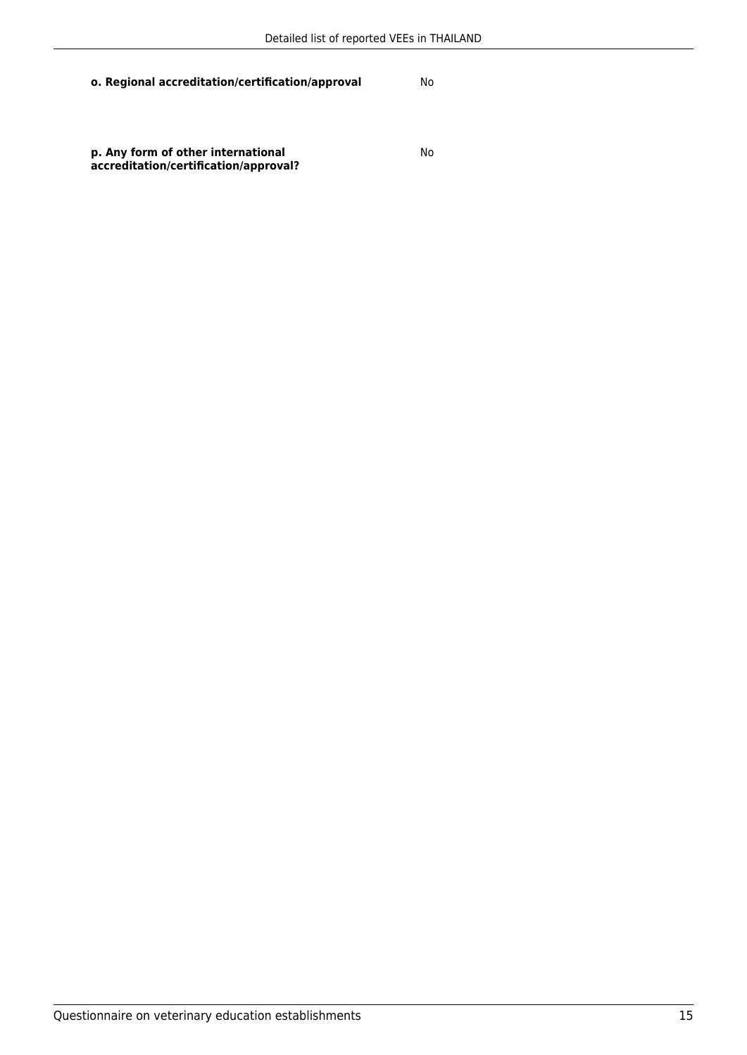**o. Regional accreditation/certification/approval** No

**p. Any form of other international accreditation/certification/approval?**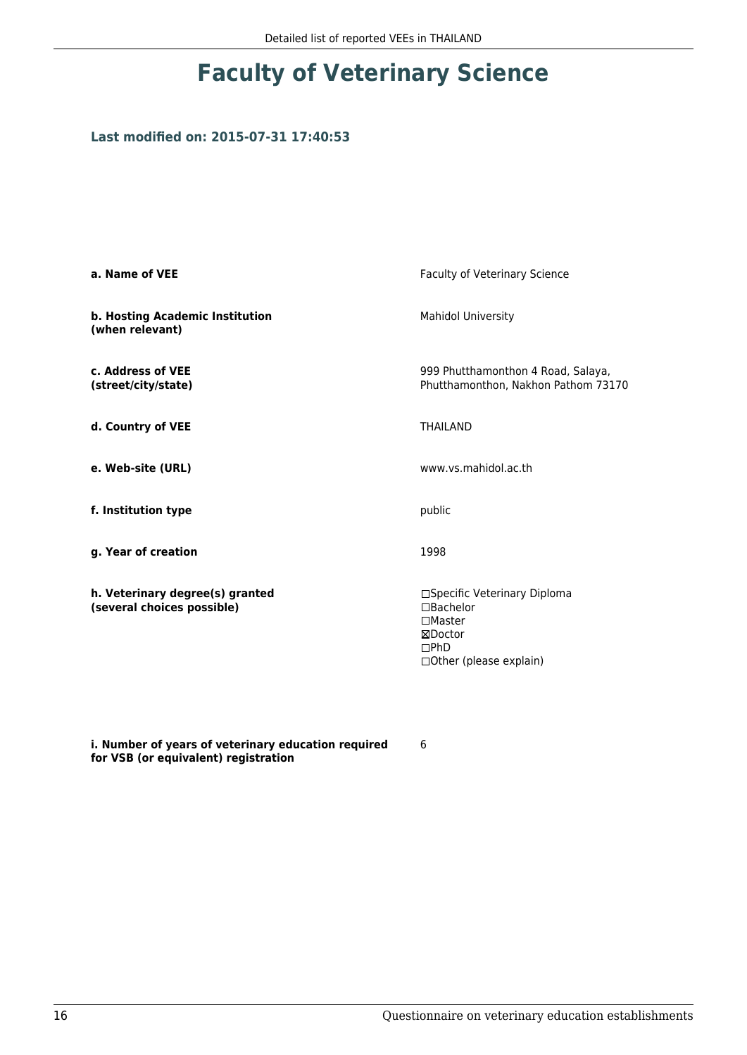# **Faculty of Veterinary Science**

#### **Last modified on: 2015-07-31 17:40:53**

| a. Name of VEE                                                | Faculty of Veterinary Science                                                                             |  |
|---------------------------------------------------------------|-----------------------------------------------------------------------------------------------------------|--|
| b. Hosting Academic Institution<br>(when relevant)            | <b>Mahidol University</b>                                                                                 |  |
| c. Address of VEE<br>(street/city/state)                      | 999 Phutthamonthon 4 Road, Salaya,<br>Phutthamonthon, Nakhon Pathom 73170                                 |  |
| d. Country of VEE                                             | <b>THAILAND</b>                                                                                           |  |
| e. Web-site (URL)                                             | www.ys.mahidol.ac.th                                                                                      |  |
| f. Institution type                                           | public                                                                                                    |  |
| g. Year of creation                                           | 1998                                                                                                      |  |
| h. Veterinary degree(s) granted<br>(several choices possible) | □Specific Veterinary Diploma<br>□Bachelor<br>$\Box$ Master<br>⊠Doctor<br>DPhD<br>□ Other (please explain) |  |

**i. Number of years of veterinary education required for VSB (or equivalent) registration**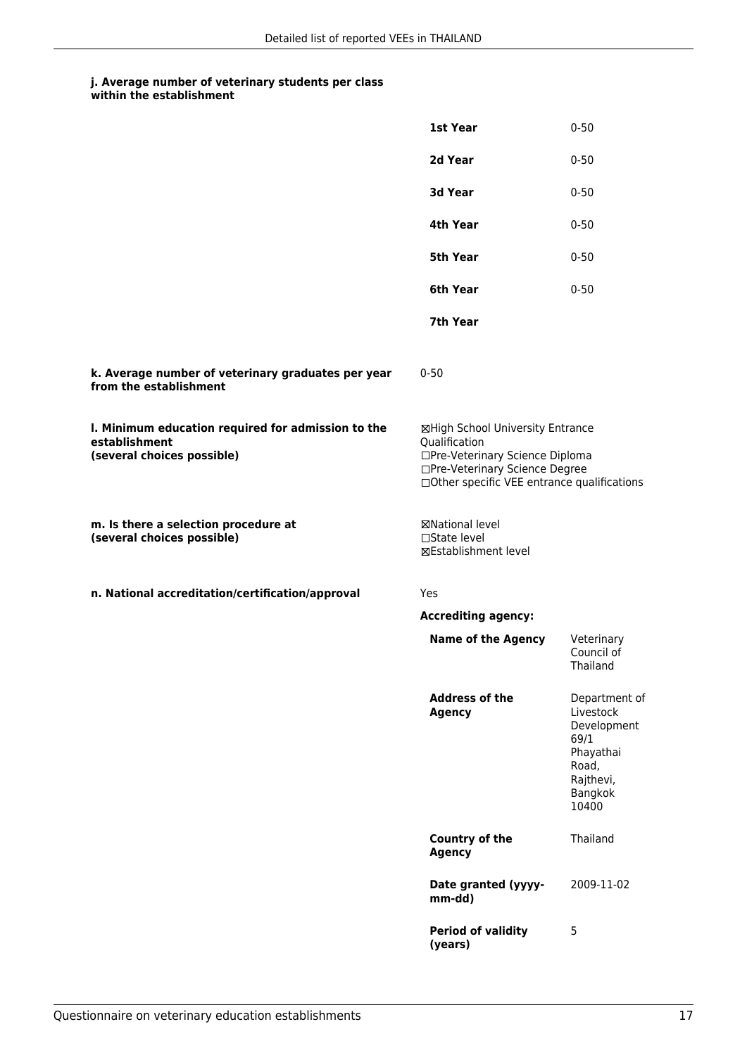#### **j. Average number of veterinary students per class within the establishment**

|                                                                                                   | 1st Year                                                                                                                                                              | $0 - 50$                                                                                                 |  |
|---------------------------------------------------------------------------------------------------|-----------------------------------------------------------------------------------------------------------------------------------------------------------------------|----------------------------------------------------------------------------------------------------------|--|
|                                                                                                   | 2d Year                                                                                                                                                               | $0 - 50$                                                                                                 |  |
|                                                                                                   | 3d Year                                                                                                                                                               | $0 - 50$                                                                                                 |  |
|                                                                                                   | 4th Year                                                                                                                                                              | $0 - 50$                                                                                                 |  |
|                                                                                                   | 5th Year                                                                                                                                                              | $0 - 50$                                                                                                 |  |
|                                                                                                   | 6th Year                                                                                                                                                              | $0 - 50$                                                                                                 |  |
|                                                                                                   | 7th Year                                                                                                                                                              |                                                                                                          |  |
| k. Average number of veterinary graduates per year<br>from the establishment                      | $0 - 50$                                                                                                                                                              |                                                                                                          |  |
| I. Minimum education required for admission to the<br>establishment<br>(several choices possible) | ⊠High School University Entrance<br>Qualification<br>□Pre-Veterinary Science Diploma<br>□Pre-Veterinary Science Degree<br>□Other specific VEE entrance qualifications |                                                                                                          |  |
| m. Is there a selection procedure at<br>(several choices possible)                                | ⊠National level<br>$\square$ State level<br>⊠Establishment level                                                                                                      |                                                                                                          |  |
| n. National accreditation/certification/approval                                                  | Yes                                                                                                                                                                   |                                                                                                          |  |
|                                                                                                   | <b>Accrediting agency:</b>                                                                                                                                            |                                                                                                          |  |
|                                                                                                   | <b>Name of the Agency</b>                                                                                                                                             | Veterinary<br>Council of<br>Thailand                                                                     |  |
|                                                                                                   | <b>Address of the</b><br><b>Agency</b>                                                                                                                                | Department of<br>Livestock<br>Development<br>69/1<br>Phayathai<br>Road,<br>Rajthevi,<br>Bangkok<br>10400 |  |
|                                                                                                   | Country of the<br><b>Agency</b>                                                                                                                                       | Thailand                                                                                                 |  |
|                                                                                                   | Date granted (yyyy-<br>mm-dd)                                                                                                                                         | 2009-11-02                                                                                               |  |
|                                                                                                   | <b>Period of validity</b><br>(years)                                                                                                                                  | 5                                                                                                        |  |